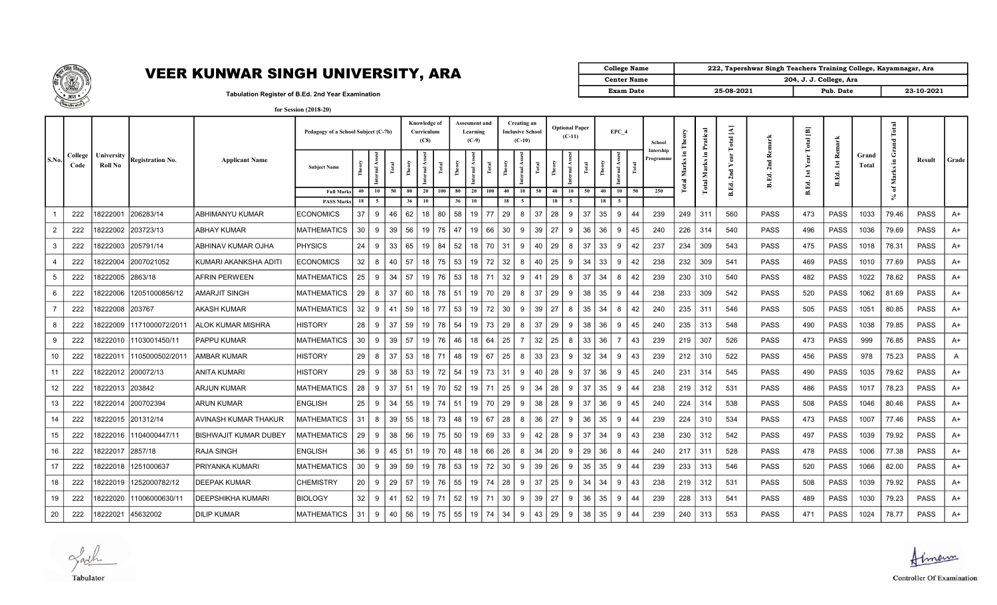

| College Name       |            | 222, Tapershwar Singh Teachers Training College, Kayamnagar, Ara |            |
|--------------------|------------|------------------------------------------------------------------|------------|
| <b>Center Name</b> |            | 204, J. J. College, Ara                                          |            |
| <b>Exam Date</b>   | 25-08-2021 | Pub. Date                                                        | 23-10-2021 |

Tabulation Register of B.Ed. 2nd Year Examination

|             | Tel Child Milwy |                       |                         |                              | for Session (2018-20)               |                 |                      |              |                                    |         |               |                                      |           |                         |                         |        |                                   |       |        |                      |                      |                                  |                          |                                |             |                       |                                           |                |                                   |             |       |
|-------------|-----------------|-----------------------|-------------------------|------------------------------|-------------------------------------|-----------------|----------------------|--------------|------------------------------------|---------|---------------|--------------------------------------|-----------|-------------------------|-------------------------|--------|-----------------------------------|-------|--------|----------------------|----------------------|----------------------------------|--------------------------|--------------------------------|-------------|-----------------------|-------------------------------------------|----------------|-----------------------------------|-------------|-------|
|             |                 |                       |                         |                              | Pedagogy of a School Subject (C-7b) |                 |                      |              | Knowledge of<br>Curriculum<br>(C8) |         |               | Assesment and<br>Learning<br>$(C-9)$ |           | Creating an<br>$(C-10)$ | <b>Inclusive School</b> |        | <b>Optional Paper</b><br>$(C-11)$ |       |        | EPC 4                | School               | heory                            | Pratical                 | $\mathbb{R}$<br>$\overline{a}$ |             | $\Xi$<br><b>Total</b> |                                           |                | otal                              |             |       |
| <b>S.No</b> | College<br>Code | University<br>Roll No | <b>Registration No.</b> | <b>Applicant Name</b>        | <b>Subject Name</b>                 | Ě               | nternal Ass<br>Total | Theory       | mal Ass                            |         | <b>Theory</b> | mal.                                 |           |                         | Total                   | Theory | nternal As                        | Total | Theory | Total<br>뀋           | Intership<br>rogramm | Æ.<br>$\bar{\mathbf{z}}$<br>otal | Ξ.<br>Marks <sup>1</sup> |                                | Rem<br>2nd  |                       | Remar<br>$\mathbf{1}\mathbf{st}$<br>B.Ed. | Grand<br>Total | ٥<br><b>.E</b><br>$\mathbf{M}$ ar | Result      | Grade |
|             |                 |                       |                         |                              | <b>Full Marks</b>                   | 40              | 10                   | 50 l<br>- 80 | - 20                               | 100     | 80            | 20                                   | 40<br>100 | 10                      | 50                      | -40    | 10 I                              | 50    | 40     | 50<br>10             | 250                  |                                  | <b>Total</b>             |                                |             | B.Ed.                 |                                           |                | ៊<br>×                            |             |       |
|             |                 |                       |                         |                              | <b>PASS Marks</b>                   | 18              | 5                    | 36           | 10                                 |         | 36            | 10                                   | 18        | $\sim$                  |                         | 18     | $\sim$                            |       | 18     | -5                   |                      |                                  |                          |                                |             |                       |                                           |                |                                   |             |       |
|             | 222             | 18222001              | 206283/14               | <b>ABHIMANYU KUMAR</b>       | <b>ECONOMICS</b>                    | 37              | 9                    | 62<br>46     | 18 <sup>1</sup>                    | 80      | 58            | 19                                   | 77        | 29<br>8                 | 37                      | 28     | -9                                | 37    | 35     | 9<br>44              | 239                  | 249                              | 311                      | 560                            | <b>PASS</b> | 473                   | <b>PASS</b>                               | 1033           | 79.46                             | <b>PASS</b> | A+    |
| 2           | 222             | 18222002              | 203723/13               | <b>ABHAY KUMAR</b>           | <b>MATHEMATICS</b>                  | 30              | 9                    | 56<br>39 l   | 19 <sup>1</sup>                    | 75      | 47            | 19                                   | 66<br>30  | 9                       | 39                      | 27     | -9                                | 36    | 36     | 45<br>9              | 240                  | 226                              | 314                      | 540                            | <b>PASS</b> | 496                   | <b>PASS</b>                               | 1036           | 79.69                             | <b>PASS</b> | A+    |
| 3           | 222             | 18222003              | 205791/14               | <b>ABHINAV KUMAR OJHA</b>    | <b>PHYSICS</b>                      | 24              | 9                    | 65<br>33 l   | 19 <sup>1</sup>                    | 84      | 52            | 18                                   | 70<br>31  |                         | 40<br>9                 | 29     | - 8                               | 37    | 33     | 42<br>9              | 237                  | 234                              | 309                      | 543                            | <b>PASS</b> | 475                   | PASS                                      | 1018           | 78.31                             | <b>PASS</b> | A+    |
|             | 222             | 18222004              | 2007021052              | KUMARI AKANKSHA ADITI        | <b>ECONOMICS</b>                    | 32              | 8                    | 40 57        | 18 <sup>1</sup>                    | 75      | 53            | 19                                   | 72<br>32  |                         | 8<br>40                 | 25     | 9                                 | 34    | 33     | 42<br>9              | 238                  | 232                              | 309                      | 541                            | <b>PASS</b> | 469                   | <b>PASS</b>                               | 1010           | 77.69                             | <b>PASS</b> | A+    |
| 5           | 222             | 18222005              | 2863/18                 | <b>AFRIN PERWEEN</b>         | <b>MATHEMATICS</b>                  | 25              | 9                    | $34 \mid 57$ |                                    | 19 76   | 53            | 18                                   | 71        | 32                      | 41<br>9                 | 29     | - 8                               | 37    | 34     | 8<br>42              | 239                  | 230                              | 310                      | 540                            | <b>PASS</b> | 482                   | <b>PASS</b>                               | 1022           | 78.62                             | <b>PASS</b> | A+    |
| 6           | 222             | 8222006               | 12051000856/12          | <b>AMARJIT SINGH</b>         | <b>MATHEMATICS</b>                  | 29              | 8                    | 60<br>-37 I  | 18 <sup>1</sup>                    | 78      | 51            | 19                                   | 70        | 29                      | 37<br>8                 | 29     | 9                                 | 38    | 35     | 44<br>9              | 238                  | 233                              | 309                      | 542                            | <b>PASS</b> | 520                   | <b>PASS</b>                               | 1062           | 81.69                             | <b>PASS</b> | A+    |
|             | 222             | 18222008              | 203767                  | <b>AKASH KUMAR</b>           | <b>MATHEMATICS</b>                  | 32              | 9                    | 59<br>41 I   | 18 <sup>1</sup>                    | 77      | 53            | 19                                   | 72<br>30  | 9                       | 39                      | 27     | -8                                | 35    | 34     | 42<br>8              | 240                  | 235                              | 311                      | 546                            | <b>PASS</b> | 505                   | <b>PASS</b>                               | 1051           | 80.85                             | <b>PASS</b> | A+    |
| 8           | 222             | 18222009              | 1171000072/2011         | <b>ALOK KUMAR MISHRA</b>     | <b>HISTORY</b>                      | 28              | -9                   | 59<br>-37 I  | 19 <sup>1</sup>                    | 78      | 54            | 19                                   | 29<br>73  | 8                       | 37                      | 29     | - 9                               | 38    | 36     | 45<br>9              | 240                  | 235                              | 313                      | 548                            | <b>PASS</b> | 490                   | <b>PASS</b>                               | 1038           | 79.85                             | <b>PASS</b> | A+    |
| 9           | 222             | 18222010              | 1103001450/11           | <b>PAPPU KUMAR</b>           | <b>MATHEMATICS</b>                  | 30              | -9                   | $39$ 57      | 19 I                               | 76      | 46            | 18                                   | 25<br>64  |                         | 32                      | 25     | -8                                | 33    | 36     | 43<br>$\overline{7}$ | 239                  | 219                              | 307                      | 526                            | <b>PASS</b> | 473                   | <b>PASS</b>                               | 999            | 76.85                             | <b>PASS</b> | A+    |
| 10          | 222             | 18222011              | 1105000502/2011         | <b>AMBAR KUMAR</b>           | <b>HISTORY</b>                      | 29              | 8                    | 53<br>-37 I  |                                    | 18   71 | l 48          | 19                                   | $+ 67 +$  | 25                      | 33<br>8                 | 23     | 9                                 | 32    | 34     | 43<br>9              | 239                  | 212                              | 310                      | 522                            | <b>PASS</b> | 456                   | <b>PASS</b>                               | 978            | 75.23                             | <b>PASS</b> | A     |
| 11          | 222             | 18222012              | 200072/13               | <b>ANITA KUMARI</b>          | <b>HISTORY</b>                      | 29              | 9                    | 53<br>38 I   |                                    | $19$ 72 | 54            | 19                                   | 73<br>31  | 9                       | 40                      | 28     | - 9                               | 37    | 36     | 45<br>9              | 240                  | 231                              | 314                      | 545                            | <b>PASS</b> | 490                   | <b>PASS</b>                               | 1035           | 79.62                             | <b>PASS</b> | A+    |
| 12          | 222             | 18222013              | 203842                  | <b>ARJUN KUMAR</b>           | <b>MATHEMATICS</b>                  | 28              | 9                    | 37 51        |                                    | 19   70 | 52            | 19                                   | 25<br>71  |                         | 34<br>9                 | 28     | 9                                 | 37    | 35     | 44<br>9              | 238                  | 219                              | 312                      | 531                            | <b>PASS</b> | 486                   | <b>PASS</b>                               | 1017           | 78.23                             | <b>PASS</b> | A+    |
| 13          | 222             | 18222014              | 200702394               | <b>ARUN KUMAR</b>            | <b>ENGLISH</b>                      | 25              | 34<br>-9             | 55           | 19 <sup>1</sup>                    | 74      | 51            | 19                                   | 70<br>29  | 9                       | 38                      | 28     | -9                                | 37    | 36     | 45<br>9              | 240                  | 224                              | 314                      | 538                            | <b>PASS</b> | 508                   | <b>PASS</b>                               | 1046           | 80.46                             | <b>PASS</b> | A+    |
| 14          | 222             | 18222015              | 201312/14               | <b>AVINASH KUMAR THAKUR</b>  | <b>MATHEMATICS</b>                  | 31              | 8                    | 39 55        | 18 <sup>1</sup>                    | 73      | l 48          | 19                                   | 67<br>28  |                         | 36<br>8                 | 27     | 9                                 | 36    | 35     | 44<br>9              | 239                  | 224                              | 310                      | 534                            | <b>PASS</b> | 473                   | PASS                                      | 1007           | 77.46                             | <b>PASS</b> | A+    |
| 15          | 222             | 18222016              | 1104000447/11           | <b>BISHWAJIT KUMAR DUBEY</b> | <b>MATHEMATICS</b>                  | 29              | 9                    | 56<br>38 I   | 19 <sup>1</sup>                    | 75      | 50            | 19                                   | 69<br>33  |                         | 42<br>9                 | 28     | 9                                 | 37    | 34     | 43<br>9              | 238                  | 230                              | 312                      | 542                            | <b>PASS</b> | 497                   | <b>PASS</b>                               | 1039           | 79.92                             | <b>PASS</b> | A+    |
| 16          | 222             | 18222017              | 2857/18                 | <b>RAJA SINGH</b>            | <b>ENGLISH</b>                      | 36              | 9                    | 51<br>45 l   | 19 <sup>1</sup>                    | 70      | 48            | 18                                   | 26<br>66  | 8                       | 34                      | 20     | -9                                | 29    | 36     | 8<br>44              | 240                  | 217                              | 311                      | 528                            | <b>PASS</b> | 478                   | <b>PASS</b>                               | 1006           | 77.38                             | <b>PASS</b> | A+    |
| 17          | 222             | 18222018              | 1251000637              | PRIYANKA KUMARI              | MATHEMATICS                         | 30 <sup>1</sup> | 9                    | 39 59        |                                    | 19   78 | 53            | 19                                   | 72        | 30                      | 39<br>9                 | 26     | 91                                | 35    | 35     | 44<br>9              | 239                  | 233                              | 313                      | 546                            | <b>PASS</b> | 520                   | <b>PASS</b>                               | 1066           | 82.00                             | <b>PASS</b> | A+    |

18 222 18222019 1252000782/12 DEEPAK KUMAR CHEMISTRY 20 9 29 57 19 76 55 19 74 28 9 37 25 9 34 34 9 43 238 219 312 531 PASS 508 PASS 1039 79.92 PASS A+ 19 222 18222020 11006000630/11 DEEPSHIKHA KUMARI BIOLOGY 32 9 41 52 19 71 52 19 71 30 9 30 27 9 36 35 9 44 239 228 313 541 PASS 489 PASS 1030 79.23 PASS A+ 20 22 18222021 45632002 DILIP KUMAR MATHEMATICS 31 9 40 56 19 75 55 19 74 34 9 43 29 9 38 35 9 44 239 240 313 553 PASS 471 PASS 1024 78.77 PASS A+

Jack Tabulator



**Controller Of Examination**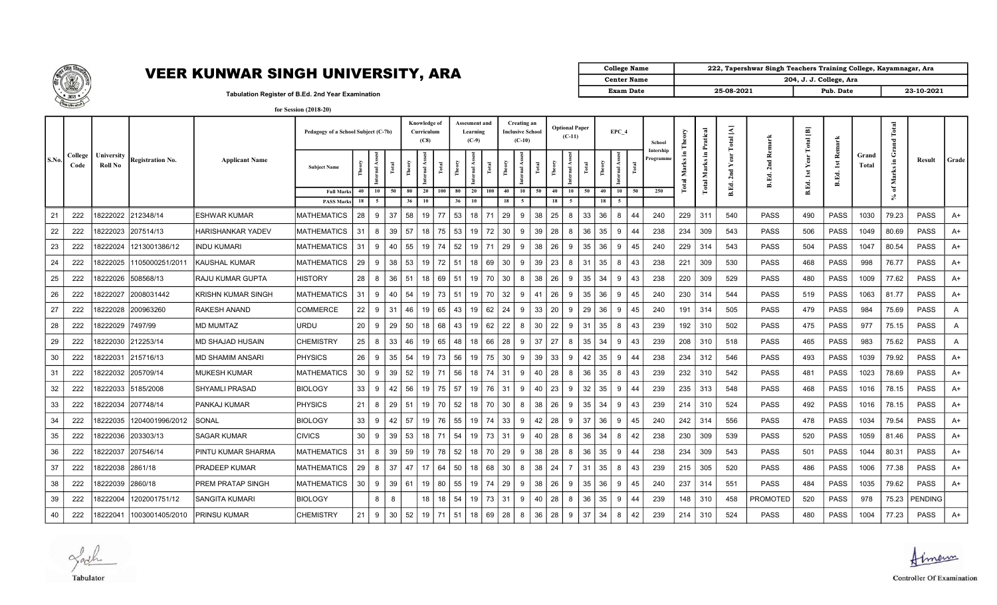

| College Name     | 222, Tapershwar Singh Teachers Training College, Kayamnagar, Ara |                         |            |
|------------------|------------------------------------------------------------------|-------------------------|------------|
| Center Name      |                                                                  | 204, J. J. College, Ara |            |
| <b>Exam Date</b> | 25-08-2021                                                       | Pub. Date               | 23-10-2021 |

Tabulation Register of B.Ed. 2nd Year Examination

| for Session (2018-20) |
|-----------------------|
|-----------------------|

|       |                 |                       |                     |                       | Pedagogy of a School Subject (C-7b) |                 |                     |       |              | <b>Knowledge of</b><br>Curriculum<br>(C8) |       |          | Assesment and<br>Learning<br>$(C-9)$ |       | Creating an<br><b>Inclusive School</b><br>$(C-10)$ |    |       |          | <b>Optional Paper</b><br>$(C-11)$ |          | EPC 4     |           | School                 |           | ical<br>Prat    | $\mathbf{A}$<br>otal |                                       | 画<br>$\overline{a}$ |             |                | Total<br>and |                 |       |
|-------|-----------------|-----------------------|---------------------|-----------------------|-------------------------------------|-----------------|---------------------|-------|--------------|-------------------------------------------|-------|----------|--------------------------------------|-------|----------------------------------------------------|----|-------|----------|-----------------------------------|----------|-----------|-----------|------------------------|-----------|-----------------|----------------------|---------------------------------------|---------------------|-------------|----------------|--------------|-----------------|-------|
| S.No. | College<br>Code | University<br>Roll No | Registration No.    | <b>Applicant Name</b> | <b>Subject Name</b>                 |                 | Internal Ass        | Total |              | Ē                                         | ē     |          | Internal Assest                      | Total | ä.<br>nternal.<br>$\mathbb{R}$                     |    | Total |          | Total<br>$\overline{\mathbf{a}}$  |          | rnal Ass  | $\bar{E}$ | Intership<br>Programme | Σ<br>otal | Е.<br>Σ<br>otal |                      | ₫<br>뎔<br>$\bar{\mathbf{v}}$<br>B.Ed. |                     | ž<br>B.Ed.  | Grand<br>Total | Æ.<br>Marks  | Result          | Grade |
|       |                 |                       |                     |                       | <b>Full Marks</b><br>PASS Mark      | 18 I            | $40 \quad 10$<br>-5 | 50    | 80<br>36     | <b>20</b><br>10                           | 100   | 80<br>36 | $20 \mid 100$<br>10                  |       | 40 I<br>18                                         | 10 | 50    | 40<br>18 | 10<br>50                          | 40<br>18 | <b>10</b> | 50        | 250                    |           |                 | B.Ed.                |                                       | B.Ed.               |             |                | 6ť<br>≿      |                 |       |
| 21    | 222             |                       | 18222022 212348/14  | <b>ESHWAR KUMAR</b>   | <b>MATHEMATICS</b>                  | 28 <sup>1</sup> | 9                   | 37    | 58           | 19                                        | 77    | 53       | 18 71                                |       | 29 I<br>9                                          |    | 38    | 25       | 33<br>8                           | 36       | 8         | 44        | 240                    | 229       | 311             | 540                  | <b>PASS</b>                           | 490                 | <b>PASS</b> | 1030           | 79.23        | PASS            | A+    |
| 22    | 222             |                       | 18222023 207514/13  | HARISHANKAR YADEV     | MATHEMATICS                         | $31 \mid$       | 8                   |       | $39 \mid 57$ | 18                                        | 75 53 |          | $19$ 72                              |       | 30 <sup>1</sup>                                    | 9  | 39    | 28       | 36<br>8                           | 35       | 9         | 44        | 238                    | 234       | 309             | 543                  | PASS                                  | 506                 | <b>PASS</b> | 1049           | 80.69        | PASS            | A+    |
| 23    | 222             | 18222024              | 1213001386/12       | <b>INDU KUMARI</b>    | <b>MATHEMATICS</b>                  | 31              | 9                   | 40    | 55           | 19                                        | 74    | 52       | 19 71                                |       | 29<br>9                                            |    | 38    | 26       | 35<br>9                           | 36       | 9         | 45        | 240                    | 229       | 314             | 543                  | PASS                                  | 504                 | <b>PASS</b> | 1047           | 80.54        | PASS            | A+    |
| 24    | 222             | 18222025              | 1105000251/2011     | <b>KAUSHAL KUMAR</b>  | <b>MATHEMATICS</b>                  | 29              | 9                   | 38    | 53           | 19                                        | 72    | 51       | 18 I                                 | 69    | 30<br>9                                            |    | 39    | 23       | 8<br>31                           | 35       | 8         | 43        | 238                    | 221       | 309             | 530                  | <b>PASS</b>                           | 468                 | <b>PASS</b> | 998            | 76.77        | PASS            | A+    |
| 25    | 222             | 18222026              | 508568/13           | RAJU KUMAR GUPTA      | <b>HISTORY</b>                      | 28 <sup>1</sup> | 8                   | 36    | 51           | 18                                        | 69    | 51       | 19 <sup>1</sup>                      | 70    | 30<br>8                                            |    | 38    | 26       | 35<br>9                           | 34       | 9         | 43        | 238                    | 220       | 309             | 529                  | <b>PASS</b>                           | 480                 | <b>PASS</b> | 1009           | 77.62        | PASS            | A+    |
| 26    | 222             | 18222027              | 2008031442          | KRISHN KUMAR SINGH    | <b>MATHEMATICS</b>                  | $31 \mid$       | 9                   | 40    | 54           | 19                                        | 73    | 51       | 19 70                                |       | 32<br>9                                            |    | 41    | 26       | 9<br>35                           | 36       | 9         | 45        | 240                    | 230       | 314             | 544                  | PASS                                  | 519                 | <b>PASS</b> | 1063           | 81.77        | PASS            | A+    |
| 27    | 222             |                       | 18222028 200963260  | RAKESH ANAND          | <b>COMMERCE</b>                     | 22              | 9                   | 31    | 46           | 19                                        | 65    | 43       | 19 <sup>1</sup>                      | 62    | 24<br>9                                            |    | 33    | 20       | 29<br>9                           | 36       | 9         | 45        | 240                    | 191       | 314             | 505                  | <b>PASS</b>                           | 479                 | <b>PASS</b> | 984            | 75.69        | <b>PASS</b>     | A     |
| 28    | 222             | 18222029 7497/99      |                     | <b>MD MUMTAZ</b>      | URDU                                | 20 <sub>1</sub> | 9                   | 29    | 50           | 18                                        | 68    | 43       | 19 <sup>1</sup>                      | 62    | 22<br>8                                            |    | 30    | 22       | 9<br>31                           | 35       | 8         | 43        | 239                    | 192       | 310             | 502                  | <b>PASS</b>                           | 475                 | <b>PASS</b> | 977            | 75.15        | <b>PASS</b>     | A     |
| 29    | 222             |                       | 8222030  212253/14  | MD SHAJAD HUSAIN      | <b>CHEMISTRY</b>                    | $25 \mid 8$     |                     | 33    | 46           | 19                                        | 65    | 48       | 18 <sup>1</sup>                      | 66    | 28<br>9                                            |    | 37    | 27       | 8<br>35                           | 34       |           | 43        | 239                    | 208       | 310             | 518                  | <b>PASS</b>                           | 465                 | <b>PASS</b> | 983            | 75.62        | <b>PASS</b>     | A     |
| 30    | 222             | 18222031              | 215716/13           | MD SHAMIM ANSARI      | <b>PHYSICS</b>                      | 26 <sup>1</sup> | 9                   | 35    | 54           | 19                                        | 73    | 56       | 19 <sup>1</sup>                      | 75    | 30<br>9                                            |    | 39    | 33       | 42<br>9                           | 35       | g         | 44        | 238                    | 234       | 312             | 546                  | <b>PASS</b>                           | 493                 | <b>PASS</b> | 1039           | 79.92        | <b>PASS</b>     | A+    |
| 31    | 222             |                       | 18222032  205709/14 | <b>MUKESH KUMAR</b>   | <b>MATHEMATICS</b>                  | 30 <sup>1</sup> | 9                   | 39 I  | 52           | 19                                        | 71    | 56       | 18 <sup>1</sup>                      | 74    | 31<br>9                                            |    | 40    | 28       | 36<br>8                           | 35       | 8         | 43        | 239                    | 232       | 310             | 542                  | <b>PASS</b>                           | 481                 | <b>PASS</b> | 1023           | 78.69        | <b>PASS</b>     | A+    |
| 32    | 222             |                       | 18222033  5185/2008 | <b>SHYAMLI PRASAD</b> | <b>BIOLOGY</b>                      | $33 \mid 9$     |                     | 42 l  | 56           | 19                                        | 75    | 57       | $19$ 76                              |       | 31<br>9                                            |    | 40    | 23       | 32<br>9                           | 35       | 9         | 44        | 239                    | 235       | 313             | 548                  | PASS                                  | 468                 | <b>PASS</b> | 1016           | 78.15        | PASS            | A+    |
| 33    | 222             |                       | 18222034 207748/14  | PANKAJ KUMAR          | PHYSICS                             | $21 \mid 8$     |                     |       | $29 \mid 51$ | 19                                        | 70 52 |          | $18$ 70                              |       | 30 <sup>1</sup>                                    | 8  | 38    | 26       | 9<br>35                           | 34       | 9         | 43        | 239                    | 214       | 310             | 524                  | <b>PASS</b>                           | 492                 | <b>PASS</b> | 1016           | 78.15        | <b>PASS</b>     | A+    |
| 34    | 222             | 18222035              | 1204001996/2012     | SONAL                 | <b>BIOLOGY</b>                      | 33 <sup>1</sup> | 9                   | 42    | 57           | 19                                        | 76    | 55       | 19                                   | 74    | 33  <br>9                                          |    | 42    | 28       | 37<br>9                           | 36       | 9         | 45        | 240                    | 242       | 314             | 556                  | PASS                                  | 478                 | <b>PASS</b> | 1034           | 79.54        | PASS            | A+    |
| 35    | 222             | 18222036              | 203303/13           | <b>SAGAR KUMAR</b>    | <b>CIVICS</b>                       | 30 <sup>1</sup> | 9                   | 39    | 53           | 18                                        | 71    | 54       | $19$ 73                              |       | 9<br>31                                            |    | 40    | 28       | 36<br>8                           | 34       | 8         | 42        | 238                    | 230       | 309             | 539                  | <b>PASS</b>                           | 520                 | <b>PASS</b> | 1059           | 81.46        | <b>PASS</b>     | A+    |
| 36    | 222             | 8222037               | 207546/14           | PINTU KUMAR SHARMA    | <b>MATHEMATICS</b>                  | $31 \mid$       | 8                   | 39    | 59           | 19                                        | 78    | 52       | 18                                   | 70    | 29<br>9                                            |    | 38    | 28       | 36<br>8                           | 35       | 9         | 44        | 238                    | 234       | 309             | 543                  | <b>PASS</b>                           | 501                 | <b>PASS</b> | 1044           | 80.31        | PASS            | A+    |
| 37    | 222             | 18222038              | 2861/18             | <b>PRADEEP KUMAR</b>  | <b>MATHEMATICS</b>                  | 29 <sup>1</sup> | 8                   | 37    | 47           | 17                                        | 64    | 50       | 18 <sup>1</sup>                      | 68    | 30<br>8                                            |    | 38    | 24       | 31                                | 35       | 8         | 43        | 239                    | 215       | 305             | 520                  | <b>PASS</b>                           | 486                 | <b>PASS</b> | 1006           | 77.38        | PASS            | A+    |
| 38    | 222             | 18222039 2860/18      |                     | PREM PRATAP SINGH     | <b>MATHEMATICS</b>                  | 30 <sup>1</sup> | 9                   | 39 I  | 61           | 19                                        | 80    | 55       | $19$ 74                              |       | 29<br>9                                            |    | 38    | 26       | 35<br>9                           | 36       | g         | 45        | 240                    | 237       | 314             | 551                  | <b>PASS</b>                           | 484                 | <b>PASS</b> | 1035           | 79.62        | <b>PASS</b>     | A+    |
| 39    | 222             | 8222004               | 1202001751/12       | <b>SANGITA KUMARI</b> | <b>BIOLOGY</b>                      |                 | 8                   | 8     |              | 18                                        | 18    | 54       | 19                                   | 73    | 31<br>9                                            |    | 40    | 28       | 8<br>36                           | 35       | 9         | 44        | 239                    | 148       | 310             | 458                  | <b>PROMOTED</b>                       | 520                 | <b>PASS</b> | 978            |              | 75.23   PENDING |       |
| 40    | 222             | 18222041              | 1003001405/2010     | <b>PRINSU KUMAR</b>   | <b>CHEMISTRY</b>                    | 21 <sup>1</sup> | - 9                 | 30    | 52           | 19                                        | 71    | 51       | 18 <sup>1</sup>                      | 69    | 28<br>8                                            |    | 36    | 28       | 37<br>9                           | 34       | 8         | 42        | 239                    | 214       | 310             | 524                  | <b>PASS</b>                           | 480                 | <b>PASS</b> | 1004           | 77.23        | <b>PASS</b>     | A+    |

Ladh Tabulator



**Controller Of Examination**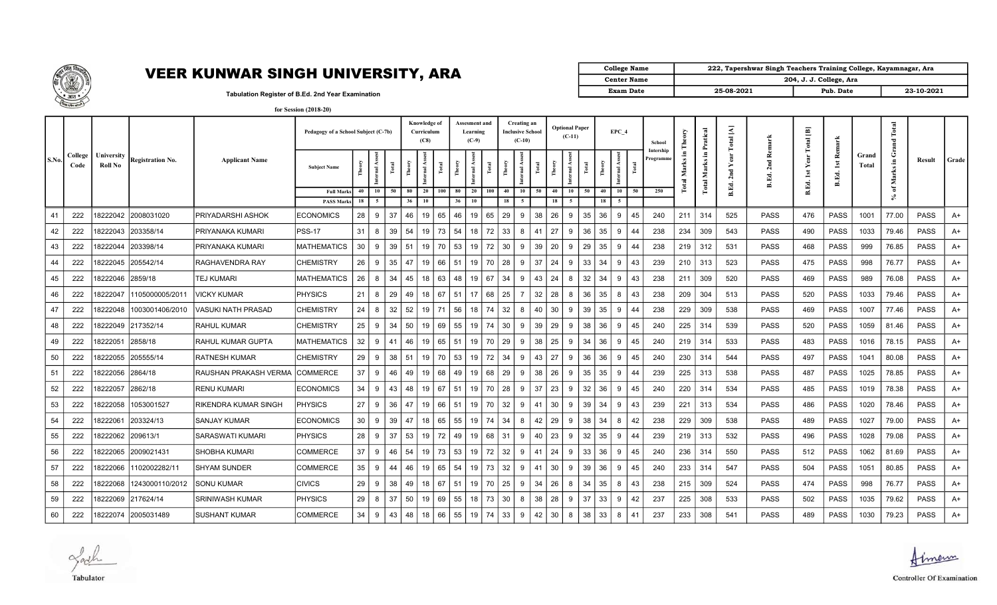

| College Name       |            | 222, Tapershwar Singh Teachers Training College, Kayamnagar, Ara |            |
|--------------------|------------|------------------------------------------------------------------|------------|
| <b>Center Name</b> |            | 204, J. J. College, Ara                                          |            |
| <b>Exam Date</b>   | 25-08-2021 | Pub. Date                                                        | 23-10-2021 |

Tabulation Register of B.Ed. 2nd Year Examination for Session (2018-20)

|       |                 |                              |                         |                       | Pedagogy of a School Subject (C-7b)    |          |          |                | <b>Knowledge of</b><br>Curriculum<br>(C8) |       |          | Assesment and<br>Learning<br>$(C-9)$ |     |          | Creating an<br>Inclusive School<br>$(C-10)$ |       |          | <b>Optional Paper</b><br>$(C-11)$ |    |          | EPC 4                 | School                | heory               | atic                      | $\overline{\mathbf{z}}$   |                   | 画<br><b>lotal</b> |                                               |                | Total           |             |       |
|-------|-----------------|------------------------------|-------------------------|-----------------------|----------------------------------------|----------|----------|----------------|-------------------------------------------|-------|----------|--------------------------------------|-----|----------|---------------------------------------------|-------|----------|-----------------------------------|----|----------|-----------------------|-----------------------|---------------------|---------------------------|---------------------------|-------------------|-------------------|-----------------------------------------------|----------------|-----------------|-------------|-------|
| S.No. | College<br>Code | University<br><b>Roll No</b> | <b>Registration No.</b> | <b>Applicant Name</b> | <b>Subject Name</b>                    |          | Ĕ        |                | ternal As                                 | Total | Ê        | $\overline{a}$                       | Ě   | Ě        | ernal                                       | Total | Ě        | nternal As<br>Ĕ                   |    |          | Ass<br>Internal.<br>Ĕ | Intership<br>rogramme | Ξ.<br>Marks<br>otal | Æ,<br>Σ<br>$\overline{a}$ | $\mathbf{\tilde{c}}$<br>ಕ | ∝<br>2nd<br>B.Ed. |                   | <b>Re</b><br>$\overline{\mathbf{a}}$<br>B.Ed. | Grand<br>Total | ن<br>Æ<br>Marks | Result      | Grade |
|       |                 |                              |                         |                       | <b>Full Marks</b><br><b>PASS Marks</b> | 40<br>18 | 10<br>-5 | 50<br>80<br>36 | 20<br>10                                  | 100   | 80<br>36 | 20<br>10                             | 100 | 40<br>18 | 10                                          | 50    | 40<br>18 | 10<br>50                          |    | 40<br>18 | 10<br>50              | 250                   |                     |                           |                           |                   | B.Ed.             |                                               |                | ិ               |             |       |
| 41    | 222             | 8222042                      | 2008031020              | PRIYADARSHI ASHOK     | <b>ECONOMICS</b>                       | 28       | 9        | 37<br>46       | 19                                        | 65    | 46       | 19                                   | 65  | 29       | 9                                           | 38    | 26       | 35<br>9                           |    | 36       | 9<br>45               | 240                   | 211                 | 314                       | 525                       | <b>PASS</b>       | 476               | PASS                                          | 1001           | 77.00           | <b>PASS</b> | A+    |
| 42    | 222             | 18222043                     | 203358/14               | PRIYANAKA KUMARI      | IPSS-17                                | 31       | 8        | 39<br>54       | 19                                        | 73    | 54       | 18                                   | 72  | 33       | 8                                           | 41    | 27       | 9                                 | 36 | 35       | 9<br>44               | 238                   | 234                 | 309                       | 543                       | PASS              | 490               | <b>PASS</b>                                   | 1033           | 79.46           | PASS        | A+    |
| 43    | 222             | 18222044                     | 203398/14               | PRIYANAKA KUMARI      | MATHEMATICS                            | 30       | 9        | 39<br>51       | 19                                        | 70    | 53       | 19                                   | 72  | 30       | 9                                           | 39    | 20       | 29<br>9                           |    | 35       | 9<br>44               | 238                   | 219                 | 312                       | 531                       | PASS              | 468               | <b>PASS</b>                                   | 999            | 76.85           | PASS        | A+    |
| 44    | 222             | 8222045                      | 205542/14               | RAGHAVENDRA RAY       | <b>CHEMISTRY</b>                       | 26       | 9        | 35<br>47       | 19                                        | 66    | 51       | 19                                   | 70  | 28       | -9                                          | 37    | 24       | 33<br>-9                          |    | 34       | -9<br>43              | 239                   | 210                 | 313                       | 523                       | PASS              | 475               | PASS                                          | 998            | 76.77           | <b>PASS</b> | A+    |
| 45    | 222             | 18222046                     | 2859/18                 | TEJ KUMARI            | MATHEMATICS                            | 26       | 8        | 34<br>45       | 18                                        | 63    | 48       | 19                                   | 67  | 34       | 9                                           | 43    | 24       | 32<br>8                           |    | 34       | -9<br>43              | 238                   | 211                 | 309                       | 520                       | PASS              | 469               | <b>PASS</b>                                   | 989            | 76.08           | <b>PASS</b> | A+    |
| 46    | 222             | 8222047                      | 1105000005/2011         | VICKY KUMAR           | <b>PHYSICS</b>                         | 21       | 8        | 29<br>49       | 18                                        | 67    | 51       | 17                                   | 68  | 25       |                                             | 32    | 28       | 8                                 | 36 | 35       | -8<br>43              | 238                   | 209                 | 304                       | 513                       | PASS              | 520               | <b>PASS</b>                                   | 1033           | 79.46           | <b>PASS</b> | A+    |
| 47    | 222             | 8222048                      | 1003001406/2010         | VASUKI NATH PRASAD    | <b>CHEMISTRY</b>                       | 24       | 8        | 32<br>52       | 19                                        | 71    | 56       | 18                                   | 74  | 32       | 8                                           | 40    | 30       | 9                                 | 39 | 35       | 9<br>44               | 238                   | 229                 | 309                       | 538                       | PASS              | 469               | <b>PASS</b>                                   | 1007           | 77.46           | <b>PASS</b> | A+    |
| 48    | 222             | 18222049                     | 217352/14               | RAHUL KUMAR           | <b>CHEMISTRY</b>                       | 25       | 9        | 34<br>50       | 19 I                                      | 69    | 55       | $19$ 74                              |     | 30       | 9                                           | 39    | 29       | 9                                 | 38 | 36       | 9<br>45               | 240                   |                     | $225$ 314                 | 539                       | PASS              | 520               | <b>PASS</b>                                   | 1059           | 81.46           | PASS        | A+    |
| 49    | 222             | 8222051                      | 2858/18                 | RAHUL KUMAR GUPTA     | <b>MATHEMATICS</b>                     | 32       | 9        | 46<br>41       | 19                                        | 65    | 51       | 19                                   | 70  | 29       | 9                                           | 38    | 25       | 34<br>9                           |    | 36       | 9<br>45               | 240                   | 219                 | 314                       | 533                       | PASS              | 483               | PASS                                          | 1016           | 78.15           | <b>PASS</b> | A+    |
| 50    | 222             | 8222055                      | 205555/14               | RATNESH KUMAR         | <b>CHEMISTRY</b>                       | 29       | 9        | 38   51        | 19 I                                      | 70    | 53       | 19                                   | 72  | 34       | 9                                           | 43    | 27       | 9                                 | 36 | 36       | 9<br>45               | 240                   | 230                 | 314                       | 544                       | PASS              | 497               | <b>PASS</b>                                   | 1041           | 80.08           | <b>PASS</b> | A+    |
| 51    | 222             | 18222056                     | 2864/18                 | RAUSHAN PRAKASH VERMA | <b>COMMERCE</b>                        | 37       | 9        | 46<br>49       | 19                                        | 68    | 49       | 19                                   | 68  | 29       | 9                                           | 38    | 26       | 35<br>-9                          |    | 35       | -9<br>44              | 239                   | 225                 | 313                       | 538                       | <b>PASS</b>       | 487               | <b>PASS</b>                                   | 1025           | 78.85           | <b>PASS</b> | A+    |
| 52    | 222             | 18222057                     | 2862/18                 | <b>RENU KUMARI</b>    | <b>ECONOMICS</b>                       | 34       | 9        | 43<br>48       | 19                                        | 67    | 51       | 19                                   | 70  | 28       | 9                                           | 37    | 23       | 9                                 | 32 | 36       | 9<br>45               | 240                   | 220                 | 314                       | 534                       | PASS              | 485               | <b>PASS</b>                                   | 1019           | 78.38           | <b>PASS</b> | A+    |
| 53    | 222             | 18222058                     | 1053001527              | RIKENDRA KUMAR SINGH  | PHYSICS                                | 27       | 9        | 47<br>36       | 19                                        | 66    | 51       | 19                                   | 70  | 32       | 9                                           | 41    | 30       | 39<br>-9                          |    | 34       | 9<br>43               | 239                   | 221                 | 313                       | 534                       | PASS              | 486               | <b>PASS</b>                                   | 1020           | 78.46           | <b>PASS</b> | A+    |
| 54    | 222             | 18222061                     | 203324/13               | SANJAY KUMAR          | <b>ECONOMICS</b>                       | 30       | 9        | 39<br>47       | 18                                        | 65    | 55       | 19                                   | 74  | 34       | 8                                           | 42    | 29       | 38<br>9                           |    | 34       | 8<br>42               | 238                   | 229                 | 309                       | 538                       | <b>PASS</b>       | 489               | <b>PASS</b>                                   | 1027           | 79.00           | PASS        | A+    |
| 55    | 222             | 8222062                      | 1209613/1               | SARASWATI KUMARI      | <b>PHYSICS</b>                         | 28       | 9        | 37<br>53       | 19                                        | 72    | 49       | 19                                   | 68  | 31       | -9                                          | 40    | 23       | 32<br>-9                          |    | 35       | -9<br>44              | 239                   | 219                 | 313                       | 532                       | PASS              | 496               | PASS                                          | 1028           | 79.08           | <b>PASS</b> | A+    |
| 56    | 222             | 8222065                      | 2009021431              | SHOBHA KUMARI         | <b>COMMERCE</b>                        | 37       | 9        | 54<br>46       | 19                                        | 73    | 53       | 19                                   | 72  | 32       | 9                                           | 41    | 24       | 33<br><b>Q</b>                    |    | 36       | 9<br>45               | 240                   | 236                 | 314                       | 550                       | PASS              | 512               | <b>PASS</b>                                   | 1062           | 81.69           | <b>PASS</b> | A+    |
| 57    | 222             | 8222066                      | 1102002282/11           | <b>SHYAM SUNDER</b>   | <b>COMMERCE</b>                        | 35       | 9        | 44<br>46       | 19                                        | 65    | 54       | 19                                   | 73  | 32       | 9                                           | 41    | 30       | 9                                 | 39 | 36       | -9<br>45              | 240                   | 233                 | 314                       | 547                       | PASS              | 504               | <b>PASS</b>                                   | 1051           | 80.85           | <b>PASS</b> | A+    |
| 58    | 222             | 8222068                      | 1243000110/2012         | <b>SONU KUMAR</b>     | <b>CIVICS</b>                          | 29       | 9        | 38<br>49       | 18                                        | 67    | 51       | 19                                   | 70  | 25       | 9                                           | 34    | 26       | 34<br>8                           |    | 35       | 8<br>43               | 238                   | 215                 | 309                       | 524                       | PASS              | 474               | <b>PASS</b>                                   | 998            | 76.77           | <b>PASS</b> | A+    |
| 59    | 222             | 18222069                     | 217624/14               | SRINIWASH KUMAR       | PHYSICS                                | 29       | 8        | 37<br>50       | 19                                        | 69    | 55       | 18 <sup>1</sup>                      | 73  | 30       | 8                                           | 38    | 28       | 37<br>9                           |    | 33       | 9<br>42               | 237                   |                     | $225 \mid 308$            | 533                       | PASS              | 502               | <b>PASS</b>                                   | 1035           | 79.62           | PASS        | A+    |
| 60    | 222             | 18222074                     | 2005031489              | <b>SUSHANT KUMAR</b>  | <b>COMMERCE</b>                        | 34       | 9        | 43<br>48       | 18 I                                      | 66    | 55       | 19 74                                |     | 33       | 9                                           | 42    | 30       | 8                                 | 38 | 33       | 8<br>41               | 237                   | 233                 | 308                       | 541                       | <b>PASS</b>       | 489               | <b>PASS</b>                                   | 1030           | 79.23           | <b>PASS</b> | A+    |

Ladh Tabulator